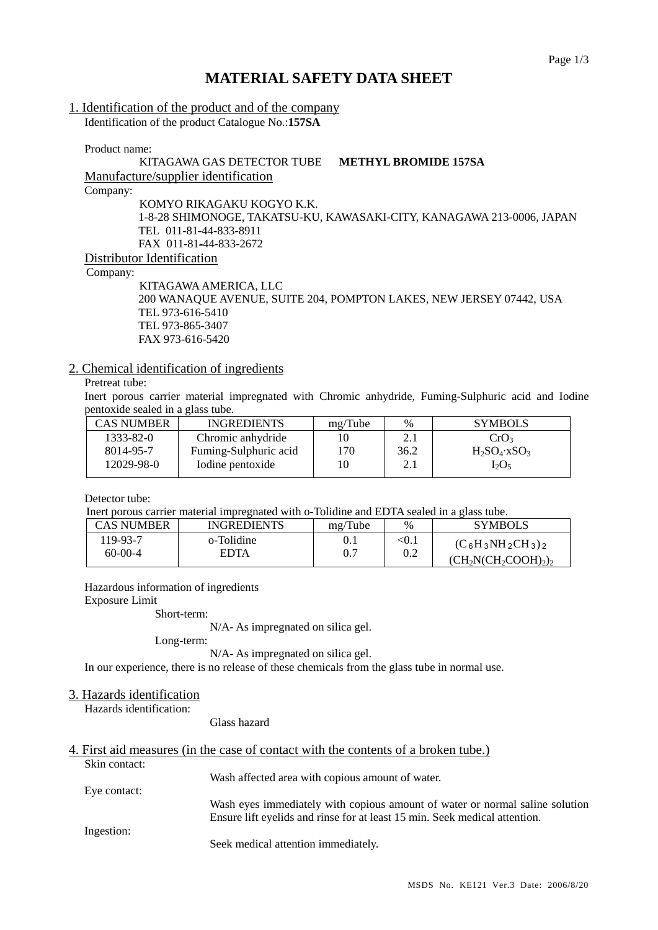# **MATERIAL SAFETY DATA SHEET**

#### 1. Identification of the product and of the company

Identification of the product Catalogue No.:**157SA** 

Product name:

#### KITAGAWA GAS DETECTOR TUBE **METHYL BROMIDE 157SA** Manufacture/supplier identification

Company:

KOMYO RIKAGAKU KOGYO K.K. 1-8-28 SHIMONOGE, TAKATSU-KU, KAWASAKI-CITY, KANAGAWA 213-0006, JAPAN TEL 011-81-44-833-8911 FAX 011-81-44-833-2672 Distributor Identification

Company:

KITAGAWA AMERICA, LLC 200 WANAQUE AVENUE, SUITE 204, POMPTON LAKES, NEW JERSEY 07442, USA TEL 973-616-5410 TEL 973-865-3407 FAX 973-616-5420

# 2. Chemical identification of ingredients

# Pretreat tube:

Inert porous carrier material impregnated with Chromic anhydride, Fuming-Sulphuric acid and Iodine pentoxide sealed in a glass tube.

| CAS NUMBER | <b>INGREDIENTS</b>    | mg/Tube | $\%$               | <b>SYMBOLS</b>             |
|------------|-----------------------|---------|--------------------|----------------------------|
| 1333-82-0  | Chromic anhydride     |         | 2.1                | CrO <sub>3</sub>           |
| 8014-95-7  | Fuming-Sulphuric acid | 170     | 36.2               | $H_2SO_4$ xSO <sub>3</sub> |
| 12029-98-0 | Iodine pentoxide      | 10      | $\gamma$ 1<br>2. l | $I_2O_5$                   |
|            |                       |         |                    |                            |

Detector tube:

Inert porous carrier material impregnated with o-Tolidine and EDTA sealed in a glass tube.

| CAS NUMBER | <b>INGREDIENTS</b> | mg/Tube | $\%$    | <b>SYMBOLS</b>                |
|------------|--------------------|---------|---------|-------------------------------|
| 19-93-7    | o-Tolidine         | 0.1     | $<$ 0.1 | $(C_6H_3NH_2CH_3)_2$          |
| $60-00-4$  | EDTA               | 0.7     | 0.2     | $(CH_2COOH)_2$ ) <sub>2</sub> |

Hazardous information of ingredients

Exposure Limit

Short-term:

N/A- As impregnated on silica gel.

Long-term:

N/A- As impregnated on silica gel.

In our experience, there is no release of these chemicals from the glass tube in normal use.

# 3. Hazards identification

Hazards identification:

Glass hazard

#### 4. First aid measures (in the case of contact with the contents of a broken tube.) Skin contact:

Wash affected area with copious amount of water.

Eye contact: Wash eyes immediately with copious amount of water or normal saline solution Ensure lift eyelids and rinse for at least 15 min. Seek medical attention. Ingestion:

Seek medical attention immediately.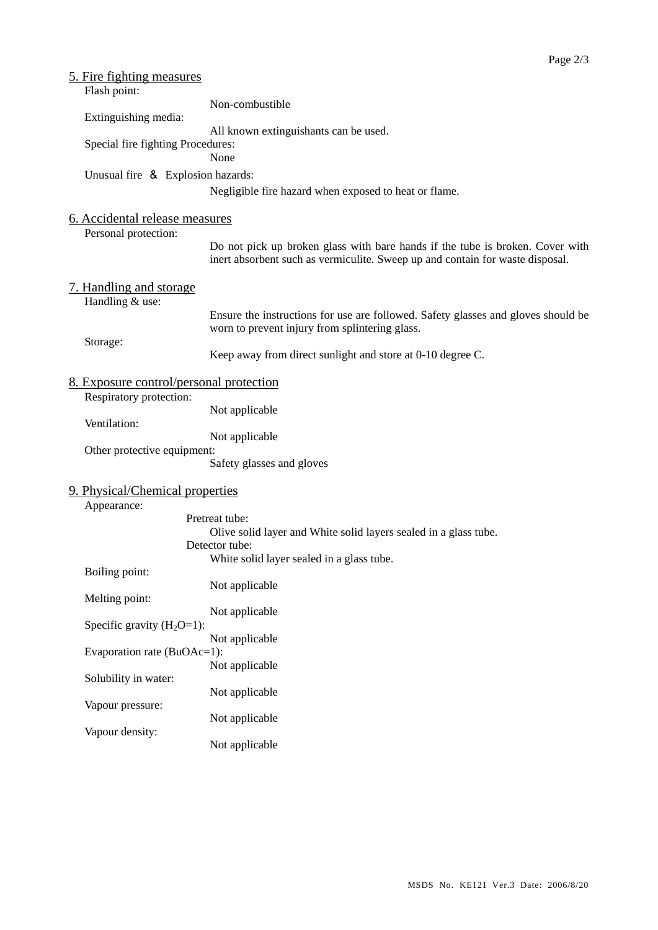| 5. Fire fighting measures                  |                                                                                                                                                                |
|--------------------------------------------|----------------------------------------------------------------------------------------------------------------------------------------------------------------|
| Flash point:                               | Non-combustible                                                                                                                                                |
| Extinguishing media:                       |                                                                                                                                                                |
|                                            | All known extinguishants can be used.                                                                                                                          |
| Special fire fighting Procedures:          |                                                                                                                                                                |
|                                            | None                                                                                                                                                           |
| Unusual fire & Explosion hazards:          |                                                                                                                                                                |
|                                            | Negligible fire hazard when exposed to heat or flame.                                                                                                          |
| 6. Accidental release measures             |                                                                                                                                                                |
| Personal protection:                       |                                                                                                                                                                |
|                                            | Do not pick up broken glass with bare hands if the tube is broken. Cover with<br>inert absorbent such as vermiculite. Sweep up and contain for waste disposal. |
| 7. Handling and storage<br>Handling & use: |                                                                                                                                                                |
|                                            | Ensure the instructions for use are followed. Safety glasses and gloves should be<br>worn to prevent injury from splintering glass.                            |
| Storage:                                   | Keep away from direct sunlight and store at 0-10 degree C.                                                                                                     |
| 8. Exposure control/personal protection    |                                                                                                                                                                |
| Respiratory protection:                    | Not applicable                                                                                                                                                 |
| Ventilation:                               |                                                                                                                                                                |
|                                            | Not applicable                                                                                                                                                 |
| Other protective equipment:                |                                                                                                                                                                |
|                                            | Safety glasses and gloves                                                                                                                                      |
| 9. Physical/Chemical properties            |                                                                                                                                                                |
| Appearance:                                |                                                                                                                                                                |
|                                            | Pretreat tube:                                                                                                                                                 |
|                                            | Olive solid layer and White solid layers sealed in a glass tube.                                                                                               |
|                                            | Detector tube:                                                                                                                                                 |
|                                            | White solid layer sealed in a glass tube.                                                                                                                      |
| Boiling point:                             | Not applicable                                                                                                                                                 |
| Melting point:                             |                                                                                                                                                                |
|                                            | Not applicable                                                                                                                                                 |
| Specific gravity $(H_2O=1)$ :              |                                                                                                                                                                |
|                                            | Not applicable                                                                                                                                                 |
| Evaporation rate (BuOAc=1):                |                                                                                                                                                                |
|                                            | Not applicable                                                                                                                                                 |
| Solubility in water:                       |                                                                                                                                                                |
|                                            | Not applicable                                                                                                                                                 |
| Vapour pressure:                           |                                                                                                                                                                |
|                                            | Not applicable                                                                                                                                                 |
| Vapour density:                            |                                                                                                                                                                |
|                                            | Not applicable                                                                                                                                                 |